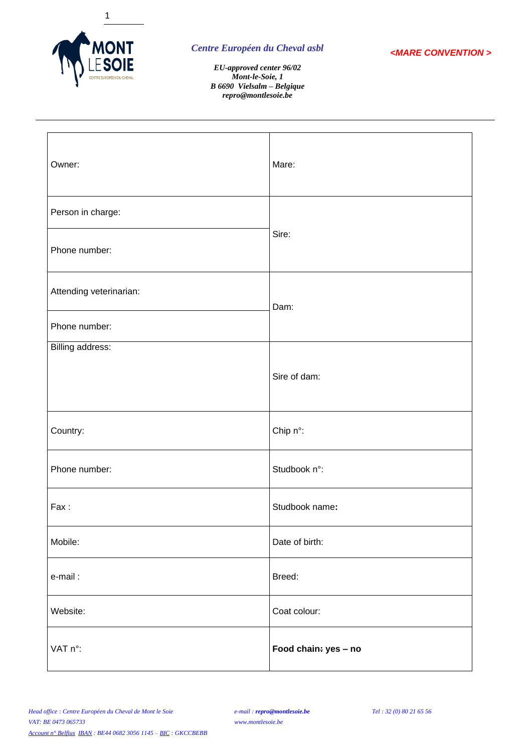



*EU-approved center 96/02 Mont-le-Soie, 1 B 6690 Vielsalm – Belgique repro@montlesoie.be*

| Owner:                  | Mare:                |  |
|-------------------------|----------------------|--|
| Person in charge:       |                      |  |
| Phone number:           | Sire:                |  |
| Attending veterinarian: | Dam:                 |  |
| Phone number:           |                      |  |
| Billing address:        |                      |  |
|                         | Sire of dam:         |  |
| Country:                | Chip n°:             |  |
| Phone number:           | Studbook n°:         |  |
| Fax:                    | Studbook name:       |  |
| Mobile:                 | Date of birth:       |  |
| e-mail:                 | Breed:               |  |
| Website:                | Coat colour:         |  |
| VAT n°:                 | Food chain: yes - no |  |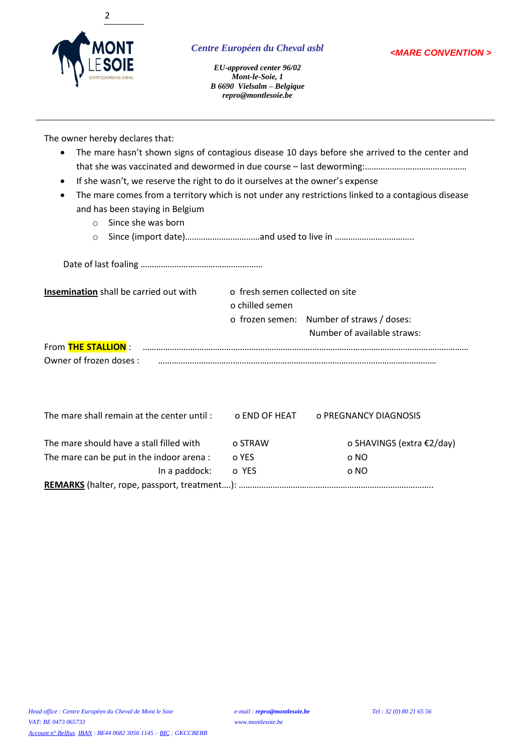



*EU-approved center 96/02 Mont-le-Soie, 1 B 6690 Vielsalm – Belgique repro@montlesoie.be*

The owner hereby declares that:

- The mare hasn't shown signs of contagious disease 10 days before she arrived to the center and that she was vaccinated and dewormed in due course – last deworming:………………………………………
- If she wasn't, we reserve the right to do it ourselves at the owner's expense
- The mare comes from a territory which is not under any restrictions linked to a contagious disease and has been staying in Belgium
	- o Since she was born
	- o Since (import date)……………………………and used to live in ……………………………..

Date of last foaling ……………………………………………… **Insemination** shall be carried out with o fresh semen collected on site o chilled semen o frozen semen: Number of straws / doses: Number of available straws:

| From THE STALLION :    |  |
|------------------------|--|
| Owner of frozen doses: |  |

| The mare shall remain at the center until: | o END OF HEAT | o PREGNANCY DIAGNOSIS     |  |  |  |  |  |  |  |
|--------------------------------------------|---------------|---------------------------|--|--|--|--|--|--|--|
| The mare should have a stall filled with   | o STRAW       | o SHAVINGS (extra €2/day) |  |  |  |  |  |  |  |
| The mare can be put in the indoor arena :  | o YES         | o NO                      |  |  |  |  |  |  |  |
| In a paddock:                              | o YES         | o NO                      |  |  |  |  |  |  |  |
|                                            |               |                           |  |  |  |  |  |  |  |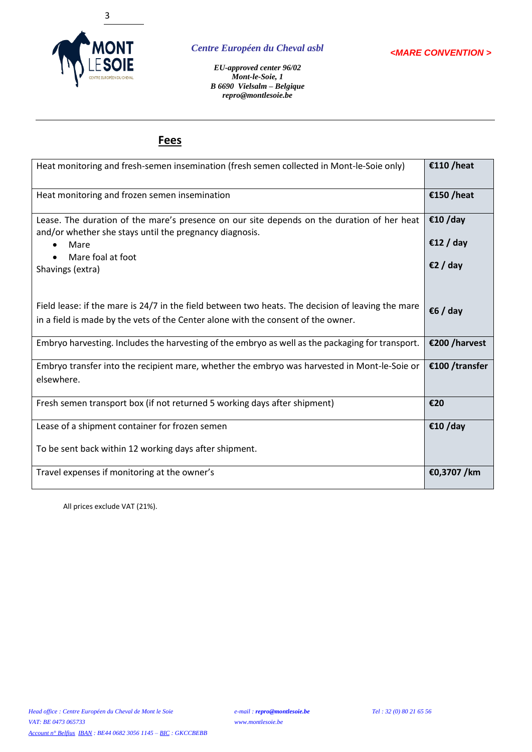

*<MARE CONVENTION >*

*EU-approved center 96/02 Mont-le-Soie, 1 B 6690 Vielsalm – Belgique repro@montlesoie.be*

# **Fees**

| Heat monitoring and fresh-semen insemination (fresh semen collected in Mont-le-Soie only)                                                                                              | €110/heat            |
|----------------------------------------------------------------------------------------------------------------------------------------------------------------------------------------|----------------------|
| Heat monitoring and frozen semen insemination                                                                                                                                          | €150/heat            |
| Lease. The duration of the mare's presence on our site depends on the duration of her heat<br>and/or whether she stays until the pregnancy diagnosis.<br>Mare                          | €10/day<br>€12 / day |
| Mare foal at foot<br>Shavings (extra)                                                                                                                                                  | €2 / day             |
| Field lease: if the mare is 24/7 in the field between two heats. The decision of leaving the mare<br>in a field is made by the vets of the Center alone with the consent of the owner. | €6 / day             |
| Embryo harvesting. Includes the harvesting of the embryo as well as the packaging for transport.                                                                                       | €200 / harvest       |
| Embryo transfer into the recipient mare, whether the embryo was harvested in Mont-le-Soie or<br>elsewhere.                                                                             | €100 /transfer       |
| Fresh semen transport box (if not returned 5 working days after shipment)                                                                                                              | €20                  |
| Lease of a shipment container for frozen semen                                                                                                                                         | €10/day              |
| To be sent back within 12 working days after shipment.                                                                                                                                 |                      |
| Travel expenses if monitoring at the owner's                                                                                                                                           | €0,3707 /km          |

All prices exclude VAT (21%).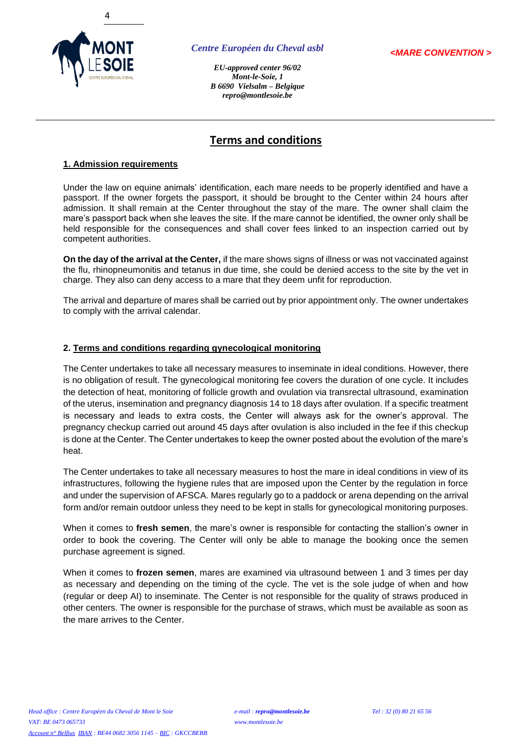

*<MARE CONVENTION >*

*EU-approved center 96/02 Mont-le-Soie, 1 B 6690 Vielsalm – Belgique repro@montlesoie.be*

# **Terms and conditions**

## **1. Admission requirements**

Under the law on equine animals' identification, each mare needs to be properly identified and have a passport. If the owner forgets the passport, it should be brought to the Center within 24 hours after admission. It shall remain at the Center throughout the stay of the mare. The owner shall claim the mare's passport back when she leaves the site. If the mare cannot be identified, the owner only shall be held responsible for the consequences and shall cover fees linked to an inspection carried out by competent authorities.

**On the day of the arrival at the Center,** if the mare shows signs of illness or was not vaccinated against the flu, rhinopneumonitis and tetanus in due time, she could be denied access to the site by the vet in charge. They also can deny access to a mare that they deem unfit for reproduction.

The arrival and departure of mares shall be carried out by prior appointment only. The owner undertakes to comply with the arrival calendar.

### **2. Terms and conditions regarding gynecological monitoring**

The Center undertakes to take all necessary measures to inseminate in ideal conditions. However, there is no obligation of result. The gynecological monitoring fee covers the duration of one cycle. It includes the detection of heat, monitoring of follicle growth and ovulation via transrectal ultrasound, examination of the uterus, insemination and pregnancy diagnosis 14 to 18 days after ovulation. If a specific treatment is necessary and leads to extra costs, the Center will always ask for the owner's approval. The pregnancy checkup carried out around 45 days after ovulation is also included in the fee if this checkup is done at the Center. The Center undertakes to keep the owner posted about the evolution of the mare's heat.

The Center undertakes to take all necessary measures to host the mare in ideal conditions in view of its infrastructures, following the hygiene rules that are imposed upon the Center by the regulation in force and under the supervision of AFSCA. Mares regularly go to a paddock or arena depending on the arrival form and/or remain outdoor unless they need to be kept in stalls for gynecological monitoring purposes.

When it comes to **fresh semen**, the mare's owner is responsible for contacting the stallion's owner in order to book the covering. The Center will only be able to manage the booking once the semen purchase agreement is signed.

When it comes to **frozen semen**, mares are examined via ultrasound between 1 and 3 times per day as necessary and depending on the timing of the cycle. The vet is the sole judge of when and how (regular or deep AI) to inseminate. The Center is not responsible for the quality of straws produced in other centers. The owner is responsible for the purchase of straws, which must be available as soon as the mare arrives to the Center.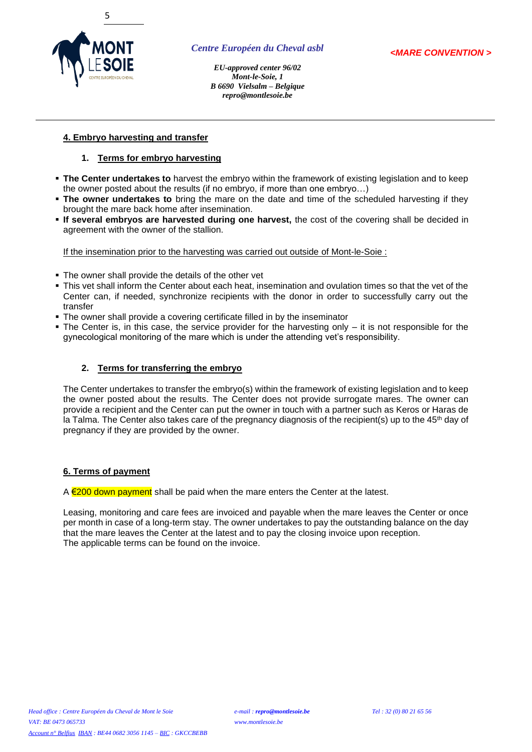

*EU-approved center 96/02 Mont-le-Soie, 1 B 6690 Vielsalm – Belgique repro@montlesoie.be*

### **4. Embryo harvesting and transfer**

### **1. Terms for embryo harvesting**

- **The Center undertakes to** harvest the embryo within the framework of existing legislation and to keep the owner posted about the results (if no embryo, if more than one embryo…)
- **The owner undertakes to** bring the mare on the date and time of the scheduled harvesting if they brought the mare back home after insemination.
- **If several embryos are harvested during one harvest,** the cost of the covering shall be decided in agreement with the owner of the stallion.

If the insemination prior to the harvesting was carried out outside of Mont-le-Soie :

- The owner shall provide the details of the other vet
- This vet shall inform the Center about each heat, insemination and ovulation times so that the vet of the Center can, if needed, synchronize recipients with the donor in order to successfully carry out the transfer
- **The owner shall provide a covering certificate filled in by the inseminator**
- $\blacksquare$  The Center is, in this case, the service provider for the harvesting only  $-$  it is not responsible for the gynecological monitoring of the mare which is under the attending vet's responsibility.

#### **2. Terms for transferring the embryo**

The Center undertakes to transfer the embryo(s) within the framework of existing legislation and to keep the owner posted about the results. The Center does not provide surrogate mares. The owner can provide a recipient and the Center can put the owner in touch with a partner such as Keros or Haras de la Talma. The Center also takes care of the pregnancy diagnosis of the recipient(s) up to the 45<sup>th</sup> day of pregnancy if they are provided by the owner.

#### **6. Terms of payment**

A  $\epsilon$ 200 down payment shall be paid when the mare enters the Center at the latest.

Leasing, monitoring and care fees are invoiced and payable when the mare leaves the Center or once per month in case of a long-term stay. The owner undertakes to pay the outstanding balance on the day that the mare leaves the Center at the latest and to pay the closing invoice upon reception. The applicable terms can be found on the invoice.